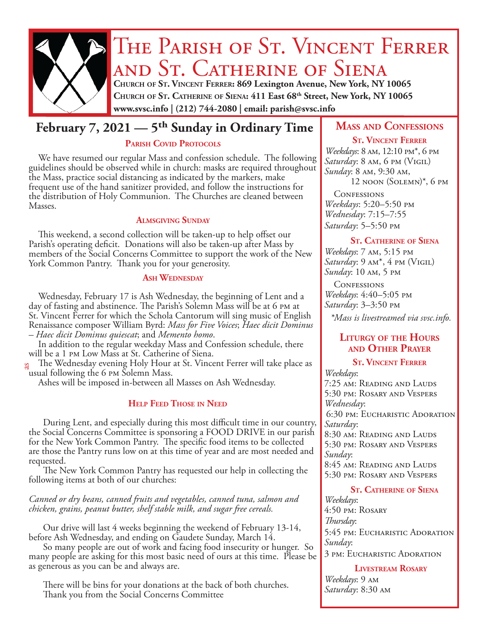

# THE PARISH OF ST. VINCENT FERRER and St. Catherine of Siena **Church of St. Vincent Ferrer: 869 Lexington Avenue, New York, NY 10065**

**Church of St. Catherine of Siena: 411 East 68th Street, New York, NY 10065 www.svsc.info | (212) 744-2080 | email: parish@svsc.info**

# **February 7, 2021 — 5<sup>th</sup> Sunday in Ordinary Time | MASS AND CONFESSIONS**

#### PARISH COVID PROTOCOLS

We have resumed our regular Mass and confession schedule. The following guidelines should be observed while in church: masks are required throughout the Mass, practice social distancing as indicated by the markers, make frequent use of the hand sanitizer provided, and follow the instructions for the distribution of Holy Communion. The Churches are cleaned between Masses.

#### **Almsgiving Sunday**

This weekend, a second collection will be taken-up to help offset our Parish's operating deficit. Donations will also be taken-up after Mass by members of the Social Concerns Committee to support the work of the New York Common Pantry. Thank you for your generosity.

#### **Ash Wednesday**

Wednesday, February 17 is Ash Wednesday, the beginning of Lent and a day of fasting and abstinence. The Parish's Solemn Mass will be at 6 pm at St. Vincent Ferrer for which the Schola Cantorum will sing music of English Renaissance composer William Byrd: *Mass for Five Voices*; *Haec dicit Dominus – Haec dicit Dominus quiescat*; and *Memento homo*.

In addition to the regular weekday Mass and Confession schedule, there will be a 1 pm Low Mass at St. Catherine of Siena.

The Wednesday evening Holy Hour at St. Vincent Ferrer will take place as usual following the 6 pm Solemn Mass. as

Ashes will be imposed in-between all Masses on Ash Wednesday.

#### **Help Feed Those in Need**

 During Lent, and especially during this most difficult time in our country, the Social Concerns Committee is sponsoring a FOOD DRIVE in our parish for the New York Common Pantry. The specific food items to be collected are those the Pantry runs low on at this time of year and are most needed and requested.

 The New York Common Pantry has requested our help in collecting the following items at both of our churches:

*Canned or dry beans, canned fruits and vegetables, canned tuna, salmon and chicken, grains, peanut butter, shelf stable milk, and sugar free cereals.*

 Our drive will last 4 weeks beginning the weekend of February 13-14, before Ash Wednesday, and ending on Gaudete Sunday, March 14.

 So many people are out of work and facing food insecurity or hunger. So many people are asking for this most basic need of ours at this time. Please be as generous as you can be and always are.

 There will be bins for your donations at the back of both churches. Thank you from the Social Concerns Committee

#### **St. Vincent Ferrer**

*Weekdays*: 8 am, 12:10 pm\*, 6 pm *Saturday*: 8 am, 6 pm (Vigil) *Sunday*: 8 am, 9:30 am, 12 noon (Solemn)\*, 6 pm

**CONFESSIONS** *Weekdays*: 5:20–5:50 pm *Wednesday*: 7:15–7:55 *Saturday*: 5–5:50 pm

#### **St. Catherine of Siena**

*Weekdays*: 7 am, 5:15 pm *Saturday*: 9 am\*, 4 pm (Vigil) *Sunday*: 10 am, 5 pm

**CONFESSIONS** *Weekdays*: 4:40–5:05 pm *Saturday*: 3–3:50 pm

*\*Mass is livestreamed via svsc.info.*

#### **Liturgy of the Hours and Other Prayer**

#### **St. Vincent Ferrer** *Weekdays*:

7:25 am: Reading and Lauds 5:30 pm: Rosary and Vespers *Wednesday*: 6:30 pm: Eucharistic Adoration *Saturday*: 8:30 am: Reading and Lauds 5:30 pm: Rosary and Vespers *Sunday*: 8:45 am: Reading and Lauds 5:30 pm: Rosary and Vespers

#### **St. Catherine of Siena**

*Weekdays*: 4:50 pm: Rosary *Thursday*: 5:45 pm: Eucharistic Adoration *Sunday*: 3 pm: Eucharistic Adoration

#### **Livestream Rosary**

*Weekdays*: 9 am *Saturday*: 8:30 am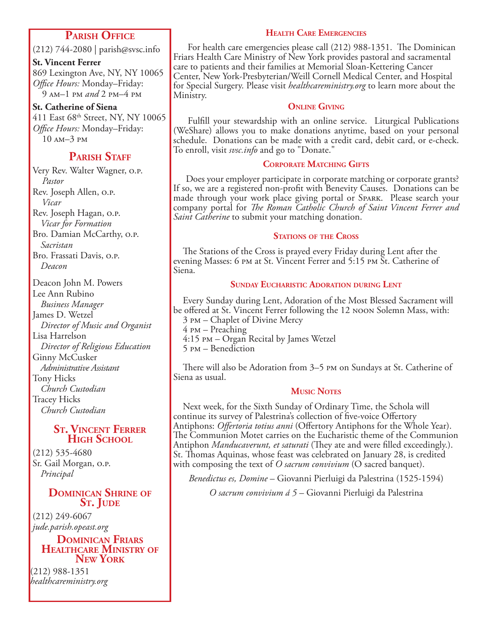#### **Parish Office**

(212) 744-2080 | parish@svsc.info

**St. Vincent Ferrer** 869 Lexington Ave, NY, NY 10065 *Office Hours:* Monday–Friday: 9 am–1 pm *and* 2 pm–4 pm

**St. Catherine of Siena** 411 East 68<sup>th</sup> Street, NY, NY 10065 *Office Hours:* Monday–Friday: 10 am–3 pm

### **PARISH STAFF**

Very Rev. Walter Wagner, o.p. *Pastor* Rev. Joseph Allen, o.p. *Vicar* Rev. Joseph Hagan, o.p. *Vicar for Formation* Bro. Damian McCarthy, o.p. *Sacristan* Bro. Frassati Davis, o.p. *Deacon*

Deacon John M. Powers Lee Ann Rubino *Business Manager* James D. Wetzel *Director of Music and Organist* Lisa Harrelson *Director of Religious Education* Ginny McCusker *Administrative Assistant* Tony Hicks *Church Custodian* Tracey Hicks *Church Custodian*

#### **St. Vincent Ferrer High School**

(212) 535-4680 Sr. Gail Morgan, o.p. *Principal*

#### **Dominican Shrine of** S<sub>T</sub>. JUDE

(212) 249-6067 *jude.parish.opeast.org*

**Dominican Friars Healthcare Ministry of New York**

(212) 988-1351 *healthcareministry.org*

#### **Health Care Emergencies**

 For health care emergencies please call (212) 988-1351. The Dominican Friars Health Care Ministry of New York provides pastoral and sacramental care to patients and their families at Memorial Sloan-Kettering Cancer Center, New York-Presbyterian/Weill Cornell Medical Center, and Hospital for Special Surgery. Please visit *healthcareministry.org* to learn more about the Ministry.

#### **Online Giving**

 Fulfill your stewardship with an online service. Liturgical Publications (WeShare) allows you to make donations anytime, based on your personal schedule. Donations can be made with a credit card, debit card, or e-check. To enroll, visit *svsc.info* and go to "Donate."

#### **Corporate Matching Gifts**

 Does your employer participate in corporate matching or corporate grants? If so, we are a registered non-profit with Benevity Causes. Donations can be made through your work place giving portal or Spark. Please search your company portal for *The Roman Catholic Church of Saint Vincent Ferrer and Saint Catherine* to submit your matching donation.

#### **STATIONS OF THE CROSS**

The Stations of the Cross is prayed every Friday during Lent after the evening Masses: 6 pm at St. Vincent Ferrer and 5:15 pm St. Catherine of Siena.

#### **Sunday Eucharistic Adoration during Lent**

Every Sunday during Lent, Adoration of the Most Blessed Sacrament will be offered at St. Vincent Ferrer following the 12 noon Solemn Mass, with:

- 3 pm Chaplet of Divine Mercy
- 4 pm Preaching
- 4:15 pm Organ Recital by James Wetzel
- 5 pm Benediction

There will also be Adoration from 3–5 pm on Sundays at St. Catherine of Siena as usual.

#### **Music Notes**

Next week, for the Sixth Sunday of Ordinary Time, the Schola will continue its survey of Palestrina's collection of five-voice Offertory Antiphons: *Offertoria totius anni* (Offertory Antiphons for the Whole Year). The Communion Motet carries on the Eucharistic theme of the Communion Antiphon *Manducaverunt, et saturati* (They ate and were filled exceedingly.). St. Thomas Aquinas, whose feast was celebrated on January 28, is credited with composing the text of *O sacrum convivium* (O sacred banquet).

*Benedictus es, Domine* – Giovanni Pierluigi da Palestrina (1525-1594)

*O sacrum convivium á 5* – Giovanni Pierluigi da Palestrina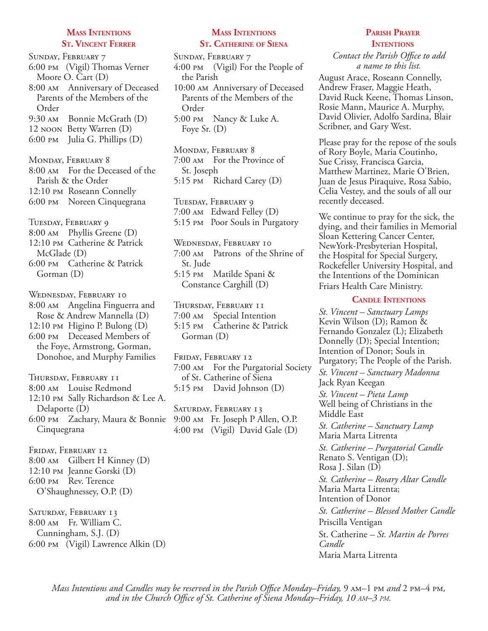#### **Mass Intentions St. Vincent Ferrer**

Sunday, February 7 6:00 pm (Vigil) Thomas Verner Moore O. Cart (D) 8:00 am Anniversary of Deceased Parents of the Members of the Order 9:30 am Bonnie McGrath (D) 12 noon Betty Warren (D) 6:00 pm Julia G. Phillips (D) Monday, February 8 8:00 am For the Deceased of the Parish & the Order 12:10 pm Roseann Connelly 6:00 pm Noreen Cinquegrana Tuesday, February 9 8:00 am Phyllis Greene (D) 12:10 pm Catherine & Patrick McGlade (D) 6:00 pm Catherine & Patrick Gorman (D) Wednesday, February 10 8:00 am Angelina Finguerra and Rose & Andrew Mannella (D) 12:10 pm Higino P. Bulong (D) 6:00 pm Deceased Members of the Foye, Armstrong, Gorman, Donohoe, and Murphy Families Thursday, February 11 8:00 am Louise Redmond 12:10 pm Sally Richardson & Lee A. Delaporte (D) 6:00 pm Zachary, Maura & Bonnie Cinquegrana FRIDAY, FEBRUARY 12 8:00 am Gilbert H Kinney (D) 12:10 pm Jeanne Gorski (D)

6:00 pm Rev. Terence O'Shaughnessey, O.P. (D)

SATURDAY, FEBRUARY 13 8:00 am Fr. William C. Cunningham, S.J. (D) 6:00 pm (Vigil) Lawrence Alkin (D)

#### **Mass Intentions St. Catherine of Siena**

Sunday, February 7 4:00 pm (Vigil) For the People of the Parish 10:00 am Anniversary of Deceased Parents of the Members of the Order 5:00 pm Nancy & Luke A.

Foye Sr. (D)

Monday, February 8 7:00 am For the Province of St. Joseph 5:15 pm Richard Carey (D)

Tuesday, February 9 7:00 am Edward Felley (D) 5:15 pm Poor Souls in Purgatory

Wednesday, February 10 7:00 am Patrons of the Shrine of St. Jude 5:15 pm Matilde Spani & Constance Carghill (D)

Thursday, February 11 7:00 am Special Intention 5:15 pm Catherine & Patrick Gorman (D)

Friday, February 12 7:00 am For the Purgatorial Society of St. Catherine of Siena 5:15 pm David Johnson (D)

SATURDAY, FEBRUARY 13 9:00 am Fr. Joseph P Allen, O.P. 4:00 pm (Vigil) David Gale (D)

#### **Parish Prayer INTENTIONS**

*Contact the Parish Office to add a name to this list.*

August Arace, Roseann Connelly, Andrew Fraser, Maggie Heath, David Ruck Keene, Thomas Linson, Rosie Mann, Maurice A. Murphy, David Olivier, Adolfo Sardina, Blair Scribner, and Gary West.

Please pray for the repose of the souls of Rory Boyle, Maria Coutinho, Sue Crissy, Francisca Garcia, Matthew Martinez, Marie O'Brien, Juan de Jesus Piraquive, Rosa Sabio, Celia Vestey, and the souls of all our recently deceased.

We continue to pray for the sick, the dying, and their families in Memorial Sloan Kettering Cancer Center, NewYork-Presbyterian Hospital, the Hospital for Special Surgery, Rockefeller University Hospital, and the Intentions of the Dominican Friars Health Care Ministry.

#### **Candle Intentions**

*St. Vincent – Sanctuary Lamps*  Kevin Wilson (D); Ramon & Fernando Gonzalez (L); Elizabeth Donnelly (D); Special Intention; Intention of Donor; Souls in Purgatory; The People of the Parish. *St. Vincent – Sanctuary Madonna* Jack Ryan Keegan *St. Vincent – Pieta Lamp* Well being of Christians in the

Middle East *St. Catherine – Sanctuary Lamp*  Maria Marta Litrenta

*St. Catherine – Purgatorial Candle*  Renato S. Ventigan (D); Rosa J. Silan (D) *St. Catherine – Rosary Altar Candle* Maria Marta Litrenta; Intention of Donor *St. Catherine – Blessed Mother Candle* Priscilla Ventigan St. Catherine *– St. Martin de Porres Candle*  Maria Marta Litrenta

*Mass Intentions and Candles may be reserved in the Parish Office Monday–Friday,* 9  $\mu$ –1 pm *and* 2 pm–4 pm, *and in the Church Office of St. Catherine of Siena Monday–Friday, 10 am–3 pm.*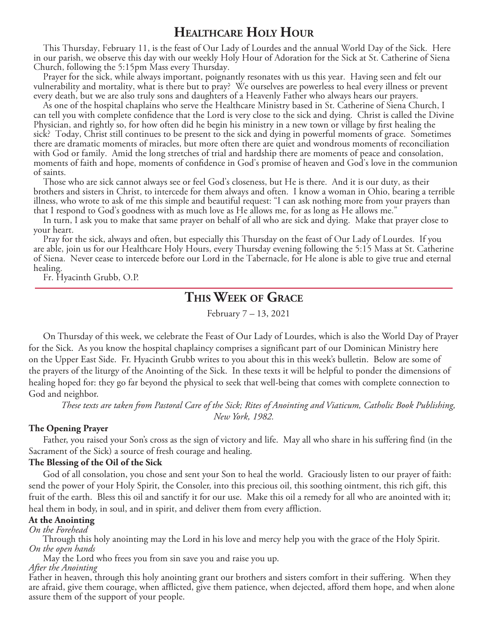### **Healthcare Holy Hour**

This Thursday, February 11, is the feast of Our Lady of Lourdes and the annual World Day of the Sick. Here in our parish, we observe this day with our weekly Holy Hour of Adoration for the Sick at St. Catherine of Siena Church, following the 5:15pm Mass every Thursday.

Prayer for the sick, while always important, poignantly resonates with us this year. Having seen and felt our vulnerability and mortality, what is there but to pray? We ourselves are powerless to heal every illness or prevent every death, but we are also truly sons and daughters of a Heavenly Father who always hears our prayers.

As one of the hospital chaplains who serve the Healthcare Ministry based in St. Catherine of Siena Church, I can tell you with complete confidence that the Lord is very close to the sick and dying. Christ is called the Divine Physician, and rightly so, for how often did he begin his ministry in a new town or village by first healing the sick? Today, Christ still continues to be present to the sick and dying in powerful moments of grace. Sometimes there are dramatic moments of miracles, but more often there are quiet and wondrous moments of reconciliation with God or family. Amid the long stretches of trial and hardship there are moments of peace and consolation, moments of faith and hope, moments of confidence in God's promise of heaven and God's love in the communion of saints.

Those who are sick cannot always see or feel God's closeness, but He is there. And it is our duty, as their brothers and sisters in Christ, to intercede for them always and often. I know a woman in Ohio, bearing a terrible illness, who wrote to ask of me this simple and beautiful request: "I can ask nothing more from your prayers than that I respond to God's goodness with as much love as He allows me, for as long as He allows me."

In turn, I ask you to make that same prayer on behalf of all who are sick and dying. Make that prayer close to your heart.

Pray for the sick, always and often, but especially this Thursday on the feast of Our Lady of Lourdes. If you are able, join us for our Healthcare Holy Hours, every Thursday evening following the 5:15 Mass at St. Catherine of Siena. Never cease to intercede before our Lord in the Tabernacle, for He alone is able to give true and eternal healing.

Fr. Hyacinth Grubb, O.P.

## **This Week of Grace**

February 7 *–* 13, 2021

 On Thursday of this week, we celebrate the Feast of Our Lady of Lourdes, which is also the World Day of Prayer for the Sick. As you know the hospital chaplaincy comprises a significant part of our Dominican Ministry here on the Upper East Side. Fr. Hyacinth Grubb writes to you about this in this week's bulletin. Below are some of the prayers of the liturgy of the Anointing of the Sick. In these texts it will be helpful to ponder the dimensions of healing hoped for: they go far beyond the physical to seek that well-being that comes with complete connection to God and neighbor.

*These texts are taken from Pastoral Care of the Sick; Rites of Anointing and Viaticum, Catholic Book Publishing, New York, 1982.* 

#### **The Opening Prayer**

 Father, you raised your Son's cross as the sign of victory and life. May all who share in his suffering find (in the Sacrament of the Sick) a source of fresh courage and healing.

#### **The Blessing of the Oil of the Sick**

 God of all consolation, you chose and sent your Son to heal the world. Graciously listen to our prayer of faith: send the power of your Holy Spirit, the Consoler, into this precious oil, this soothing ointment, this rich gift, this fruit of the earth. Bless this oil and sanctify it for our use. Make this oil a remedy for all who are anointed with it; heal them in body, in soul, and in spirit, and deliver them from every affliction.

#### **At the Anointing**

*On the Forehead*

 Through this holy anointing may the Lord in his love and mercy help you with the grace of the Holy Spirit. *On the open hands*

May the Lord who frees you from sin save you and raise you up.

#### *After the Anointing*

Father in heaven, through this holy anointing grant our brothers and sisters comfort in their suffering. When they are afraid, give them courage, when afflicted, give them patience, when dejected, afford them hope, and when alone assure them of the support of your people.